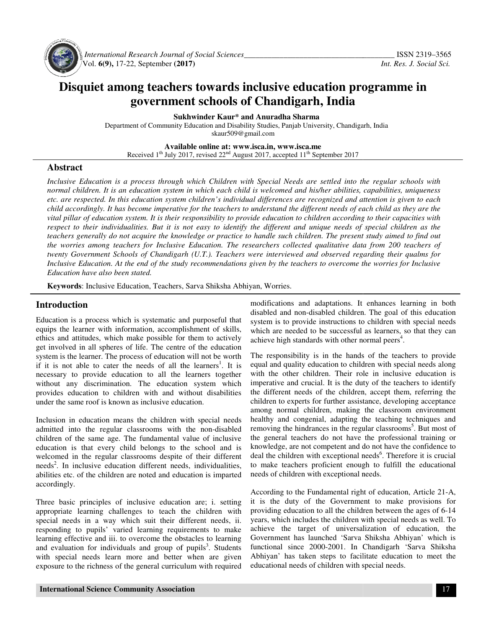

 *International Research Journal Journal of Social Sciences\_\_\_\_\_\_\_\_\_\_\_\_\_\_\_\_\_\_\_\_\_\_\_\_\_\_\_\_\_\_\_\_\_\_\_* Vol. **6(9),** 17-22, September **(2017)**

# **Disquiet among teachers towards inclusive education programme in Disquiet among teachers Chandigarh, India government schools of Chandigarh**

**Sukhwinder Kaur\* and Anuradha Sharma** 

Department of Community Education and Disability Studies, Panjab University, Chandigarh, India skaur509@gmail.com

> **Available Available online at: www.isca.in, www.isca.me**

Received 1<sup>th</sup> July 201 2017, revised  $22<sup>nd</sup>$  August 2017, accepted  $11<sup>th</sup>$  September 2017

#### **Abstract**

*Inclusive Education is a process through which Children with Special Needs are settled into the regular schools with normal children. It is an education system in which each child is welcomed and his/her abilities, capabilities, uniqueness etc. are respected. In this education system children's individual differences are recognized and attention is given to each child accordingly. It has become imperative for the teachers to understand the different needs of each chi child as they are the vital pillar of education system. It is their responsibility to provide education to children according to their capacities w with*  respect to their individualities. But it is not easy to identify the different and unique needs of special children as the *teachers generally do not acquire the knowledge or practice to handle such children. The present study aimed to find out the worries among teachers for Inclusive Education. The researchers collected qualitative data from 200 teachers of twenty Government Schools of Chandigarh (U.T.). Teachers were interviewed and observed regarding their qualms for Inclusive Education. At the end of the study recommendations given by the teachers to overcome the worries for Inclusive Education have also been stated. wive Education is a process through which Children with Special Needs are settled into the regular schools well* all children. It is an education system in which each child is welcomed and his/her abilities, capabilities, *is to their individualities. But it is not easy to identify the different and unique needs of special children as the*<br>*iers generally do not acquire the knowledge or practice to handle such children. The present study ai* 

**Keywords**: Inclusive Education, Teachers, Sarva Shiksha Abhiyan, Worries.

#### **Introduction**

Education is a process which is systematic and purposeful that equips the learner with information, accomplishment of skills, ethics and attitudes, which make possible for them to actively get involved in all spheres of life. The centre of the education system is the learner. The process of education will not be worth if it is not able to cater the needs of all the learners<sup>1</sup>. It is necessary to provide education to all the learners together without any discrimination. The education system which provides education to children with and without disabilities under the same roof is known as inclusive education. **Abduction** modulation, Teachers, Sarva Shiksha Abhiyan,<br>
in a process which is systematic and purposeful that<br>
the learner with information, accomplishment of skills, which<br>
and attitudes, which make possible for them to essary to provide education to all the learners together<br>hout any discrimination. The education system which<br>vides education to children with and without disabilities<br>ler the same roof is known as inclusive education.<br>lusi

Inclusion in education means the children with special needs admitted into the regular classrooms with the non children of the same age. The fundamental value of inclusive education is that every child belongs to the school and is children of the same age. The fundamental value of inclusive education is that every child belongs to the school and is welcomed in the regular classrooms despite of their different needs<sup>2</sup>. In inclusive education different needs, individualities, abilities etc. of the children are noted and education is imparted accordingly.

Three basic principles of inclusive education are; i. setting appropriate learning challenges to teach the children with special needs in a way which suit their different needs, ii. responding to pupils' varied learning requirements to make learning effective and iii. to overcome the obstacles to learning and evaluation for individuals and group of pupils . Students with special needs learn more and better when are given exposure to the richness of the general curriculum with required needs<sup>2</sup>. In inclusive education different needs, individualities, abilities etc. of the children are noted and education is imparted accordingly.<br>Three basic principles of inclusive education are; i. setting appropriate l

modifications and adaptations. It enhances learning in both disabled and non-disabled children. The goal of this education system is to provide instructions to children with special needs which are needed to be successful as learners, so that they can system is to provide instructions to children with which are needed to be successful as learners, so achieve high standards with other normal peers<sup>4</sup>.

**Introduction**<br>
Improductions and adaptations and promover and promover and productions and advantations is a promover interperal manner in the general manner with information, accomplishment of skills, which are needed to The responsibility is in the hands of the teachers to provide equal and quality education to children with special needs along with the other children. Their role in inclusive education is imperative and crucial. It is the duty of the teachers to identify the different needs of the children, accept them, referring the children to experts for further assistance, developing acceptance among normal children, making the classroom environment healthy and congenial, adapting the teaching techniques and removing the hindrances in the regular classrooms . But most of the general teachers do not have the professional training or knowledge, are not competent and do not have the confidence to the general teachers do not have the professional training or knowledge, are not competent and do not have the confidence to deal the children with exceptional needs<sup>6</sup>. Therefore it is crucial to make teachers proficient enough to fulfill the educational needs of children with exceptional needs. to make teachers proficient enough to fulfill the educational<br>needs of children with exceptional needs.<br>According to the Fundamental right of education, Article 21-A, al and quality education to children with special needs also the other children. Their role in inclusive education erative and crucial. It is the duty of the teachers to iden different needs of the children, accept them, r

it is the duty of the Government to make provisions for it is the duty of the Government to make provisions for providing education to all the children between the ages of 6-14 years, which includes the children with special needs as well. To achieve the target of universalization of education, the Government has launched 'Sarva Shiksha Abhiyan' which is functional since 2000-2001. In Chandigarh 'Sarva Shiksha Abhiyan' has taken steps to facilitate education to meet the educational needs of children with special needs. achieve the target of universalization of education, Government has launched 'Sarva Shiksha Abhiyan' whic<br>functional since 2000-2001. In Chandigarh 'Sarva Shi<br>Abhiyan' has taken steps to facilitate education to meet<br>educat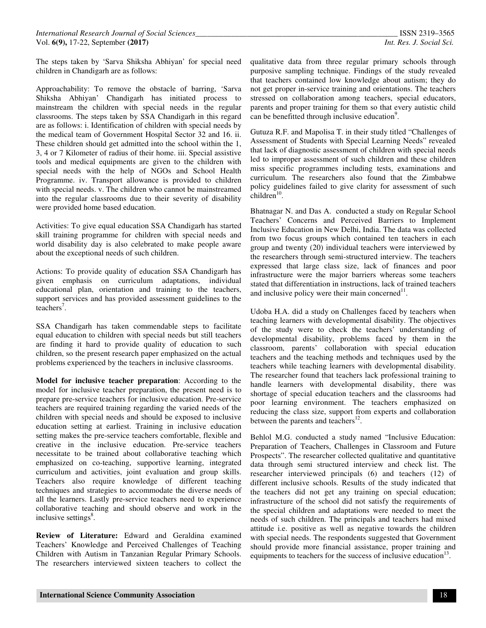The steps taken by 'Sarva Shiksha Abhiyan' for special need children in Chandigarh are as follows:

Approachability: To remove the obstacle of barring, 'Sarva Shiksha Abhiyan' Chandigarh has initiated process to mainstream the children with special needs in the regular classrooms. The steps taken by SSA Chandigarh in this regard are as follows: i. Identification of children with special needs by the medical team of Government Hospital Sector 32 and 16. ii. These children should get admitted into the school within the 1, 3, 4 or 7 Kilometer of radius of their home. iii. Special assistive tools and medical equipments are given to the children with special needs with the help of NGOs and School Health Programme. iv. Transport allowance is provided to children with special needs. v. The children who cannot be mainstreamed into the regular classrooms due to their severity of disability were provided home based education.

Activities: To give equal education SSA Chandigarh has started skill training programme for children with special needs and world disability day is also celebrated to make people aware about the exceptional needs of such children.

Actions: To provide quality of education SSA Chandigarh has given emphasis on curriculum adaptations, individual educational plan, orientation and training to the teachers, support services and has provided assessment guidelines to the  $teaches<sup>7</sup>$ .

SSA Chandigarh has taken commendable steps to facilitate equal education to children with special needs but still teachers are finding it hard to provide quality of education to such children, so the present research paper emphasized on the actual problems experienced by the teachers in inclusive classrooms.

**Model for inclusive teacher preparation**: According to the model for inclusive teacher preparation, the present need is to prepare pre-service teachers for inclusive education. Pre-service teachers are required training regarding the varied needs of the children with special needs and should be exposed to inclusive education setting at earliest. Training in inclusive education setting makes the pre-service teachers comfortable, flexible and creative in the inclusive education. Pre-service teachers necessitate to be trained about collaborative teaching which emphasized on co-teaching, supportive learning, integrated curriculum and activities, joint evaluation and group skills. Teachers also require knowledge of different teaching techniques and strategies to accommodate the diverse needs of all the learners. Lastly pre-service teachers need to experience collaborative teaching and should observe and work in the inclusive settings<sup>8</sup>.

**Review of Literature:** Edward and Geraldina examined Teachers' Knowledge and Perceived Challenges of Teaching Children with Autism in Tanzanian Regular Primary Schools. The researchers interviewed sixteen teachers to collect the

qualitative data from three regular primary schools through purposive sampling technique. Findings of the study revealed that teachers contained low knowledge about autism; they do not get proper in-service training and orientations. The teachers stressed on collaboration among teachers, special educators, parents and proper training for them so that every autistic child can be benefitted through inclusive education<sup>9</sup>.

Gutuza R.F. and Mapolisa T. in their study titled "Challenges of Assessment of Students with Special Learning Needs" revealed that lack of diagnostic assessment of children with special needs led to improper assessment of such children and these children miss specific programmes including tests, examinations and curriculum. The researchers also found that the Zimbabwe policy guidelines failed to give clarity for assessment of such  $children<sup>10</sup>$ .

Bhatnagar N. and Das A. conducted a study on Regular School Teachers' Concerns and Perceived Barriers to Implement Inclusive Education in New Delhi, India. The data was collected from two focus groups which contained ten teachers in each group and twenty (20) individual teachers were interviewed by the researchers through semi-structured interview. The teachers expressed that large class size, lack of finances and poor infrastructure were the major barriers whereas some teachers stated that differentiation in instructions, lack of trained teachers and inclusive policy were their main concerned $11$ .

Udoba H.A. did a study on Challenges faced by teachers when teaching learners with developmental disability. The objectives of the study were to check the teachers' understanding of developmental disability, problems faced by them in the classroom, parents' collaboration with special education teachers and the teaching methods and techniques used by the teachers while teaching learners with developmental disability. The researcher found that teachers lack professional training to handle learners with developmental disability, there was shortage of special education teachers and the classrooms had poor learning environment. The teachers emphasized on reducing the class size, support from experts and collaboration between the parents and teachers $^{12}$ .

Behlol M.G. conducted a study named "Inclusive Education: Preparation of Teachers, Challenges in Classroom and Future Prospects". The researcher collected qualitative and quantitative data through semi structured interview and check list. The researcher interviewed principals (6) and teachers (12) of different inclusive schools. Results of the study indicated that the teachers did not get any training on special education; infrastructure of the school did not satisfy the requirements of the special children and adaptations were needed to meet the needs of such children. The principals and teachers had mixed attitude i.e. positive as well as negative towards the children with special needs. The respondents suggested that Government should provide more financial assistance, proper training and equipments to teachers for the success of inclusive education<sup>13</sup>.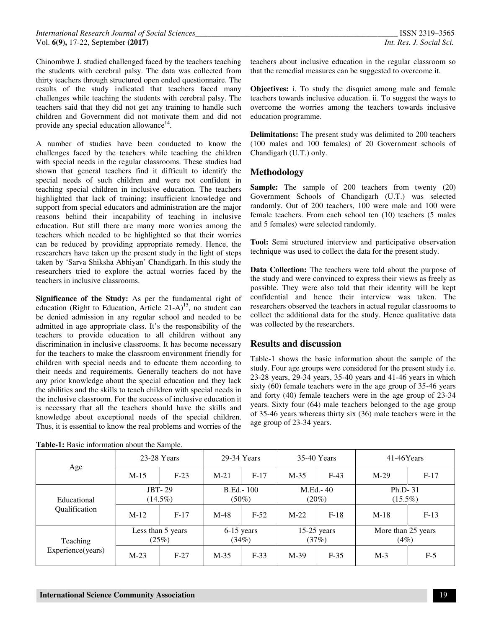Chinombwe J. studied challenged faced by the teachers teaching the students with cerebral palsy. The data was collected from thirty teachers through structured open ended questionnaire. The results of the study indicated that teachers faced many challenges while teaching the students with cerebral palsy. The teachers said that they did not get any training to handle such children and Government did not motivate them and did not provide any special education allowance<sup>14</sup>.

A number of studies have been conducted to know the challenges faced by the teachers while teaching the children with special needs in the regular classrooms. These studies had shown that general teachers find it difficult to identify the special needs of such children and were not confident in teaching special children in inclusive education. The teachers highlighted that lack of training; insufficient knowledge and support from special educators and administration are the major reasons behind their incapability of teaching in inclusive education. But still there are many more worries among the teachers which needed to be highlighted so that their worries can be reduced by providing appropriate remedy. Hence, the researchers have taken up the present study in the light of steps taken by 'Sarva Shiksha Abhiyan' Chandigarh. In this study the researchers tried to explore the actual worries faced by the teachers in inclusive classrooms.

**Significance of the Study:** As per the fundamental right of education (Right to Education, Article  $21-A$ )<sup>15</sup>, no student can be denied admission in any regular school and needed to be admitted in age appropriate class. It's the responsibility of the teachers to provide education to all children without any discrimination in inclusive classrooms. It has become necessary for the teachers to make the classroom environment friendly for children with special needs and to educate them according to their needs and requirements. Generally teachers do not have any prior knowledge about the special education and they lack the abilities and the skills to teach children with special needs in the inclusive classroom. For the success of inclusive education it is necessary that all the teachers should have the skills and knowledge about exceptional needs of the special children. Thus, it is essential to know the real problems and worries of the

| Age                                  | 23-28 Years                 |        | 29-34 Years                   |        | 35-40 Years            |        | $41-46Years$                  |        |
|--------------------------------------|-----------------------------|--------|-------------------------------|--------|------------------------|--------|-------------------------------|--------|
|                                      | $M-15$                      | $F-23$ | $M-21$                        | $F-17$ | $M-35$                 | $F-43$ | $M-29$                        | $F-17$ |
| Educational<br>Qualification         | <b>JBT-29</b><br>$(14.5\%)$ |        | <b>B.Ed.</b> -100<br>$(50\%)$ |        | M.Ed.- 40<br>(20%)     |        | Ph.D-31<br>$(15.5\%)$         |        |
|                                      | $M-12$                      | $F-17$ | $M-48$                        | $F-52$ | $M-22$                 | $F-18$ | $M-18$                        | $F-13$ |
| <b>Teaching</b><br>Experience(years) | Less than 5 years<br>(25%)  |        | $6-15$ years<br>(34%)         |        | $15-25$ years<br>(37%) |        | More than 25 years<br>$(4\%)$ |        |
|                                      | $M-23$                      | $F-27$ | $M-35$                        | $F-33$ | $M-39$                 | $F-35$ | $M-3$                         | $F-5$  |

**Table-1:** Basic information about the Sample.

teachers about inclusive education in the regular classroom so that the remedial measures can be suggested to overcome it.

**Objectives:** i. To study the disquiet among male and female teachers towards inclusive education. ii. To suggest the ways to overcome the worries among the teachers towards inclusive education programme.

**Delimitations:** The present study was delimited to 200 teachers (100 males and 100 females) of 20 Government schools of Chandigarh (U.T.) only.

## **Methodology**

**Sample:** The sample of 200 teachers from twenty (20) Government Schools of Chandigarh (U.T.) was selected randomly. Out of 200 teachers, 100 were male and 100 were female teachers. From each school ten (10) teachers (5 males and 5 females) were selected randomly.

**Tool:** Semi structured interview and participative observation technique was used to collect the data for the present study.

**Data Collection:** The teachers were told about the purpose of the study and were convinced to express their views as freely as possible. They were also told that their identity will be kept confidential and hence their interview was taken. The researchers observed the teachers in actual regular classrooms to collect the additional data for the study. Hence qualitative data was collected by the researchers.

## **Results and discussion**

Table-1 shows the basic information about the sample of the study. Four age groups were considered for the present study i.e. 23-28 years, 29-34 years, 35-40 years and 41-46 years in which sixty (60) female teachers were in the age group of 35-46 years and forty (40) female teachers were in the age group of 23-34 years. Sixty four (64) male teachers belonged to the age group of 35-46 years whereas thirty six (36) male teachers were in the age group of 23-34 years.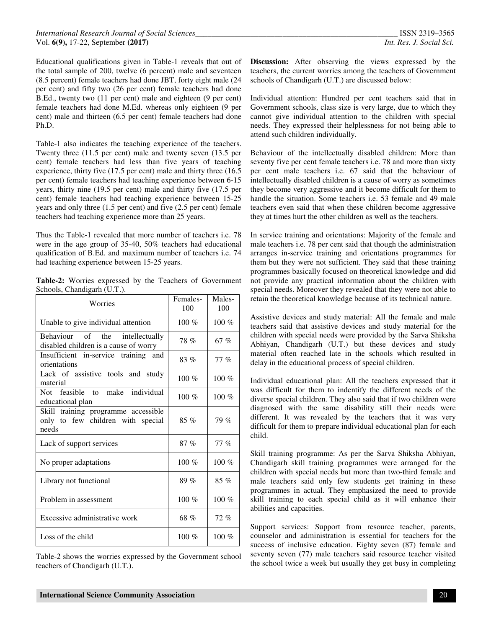Educational qualifications given in Table-1 reveals that out of the total sample of 200, twelve (6 percent) male and seventeen (8.5 percent) female teachers had done JBT, forty eight male (24 per cent) and fifty two (26 per cent) female teachers had done B.Ed., twenty two (11 per cent) male and eighteen (9 per cent) female teachers had done M.Ed. whereas only eighteen (9 per cent) male and thirteen (6.5 per cent) female teachers had done Ph.D.

Table-1 also indicates the teaching experience of the teachers. Twenty three (11.5 per cent) male and twenty seven (13.5 per cent) female teachers had less than five years of teaching experience, thirty five (17.5 per cent) male and thirty three (16.5 per cent) female teachers had teaching experience between 6-15 years, thirty nine (19.5 per cent) male and thirty five (17.5 per cent) female teachers had teaching experience between 15-25 years and only three (1.5 per cent) and five (2.5 per cent) female teachers had teaching experience more than 25 years.

Thus the Table-1 revealed that more number of teachers i.e. 78 were in the age group of 35-40, 50% teachers had educational qualification of B.Ed. and maximum number of teachers i.e. 74 had teaching experience between 15-25 years.

|  |                             |  |  | <b>Table-2:</b> Worries expressed by the Teachers of Government |
|--|-----------------------------|--|--|-----------------------------------------------------------------|
|  | Schools, Chandigarh (U.T.). |  |  |                                                                 |

| Worries                                                                           | Females-<br>100 | Males-<br>100 |
|-----------------------------------------------------------------------------------|-----------------|---------------|
| Unable to give individual attention                                               | 100 $%$         | $100\%$       |
| of the<br>Behaviour<br>intellectually<br>disabled children is a cause of worry    | 78%             | 67 %          |
| Insufficient in-service training and<br>orientations                              | 83%             | 77 %          |
| Lack of assistive tools and study<br>material                                     | 100 $%$         | 100 $%$       |
| Not feasible to make individual<br>educational plan                               | 100 $%$         | 100 $%$       |
| Skill training programme accessible<br>only to few children with special<br>needs | $85\%$          | 79%           |
| Lack of support services                                                          | 87%             | $77\%$        |
| No proper adaptations                                                             | $100\%$         | $100\%$       |
| Library not functional                                                            | 89%             | $85\%$        |
| Problem in assessment                                                             | $100\%$         | 100 $%$       |
| Excessive administrative work                                                     | 68 %            | 72%           |
| Loss of the child                                                                 | $100\%$         | $100\%$       |

Table-2 shows the worries expressed by the Government school teachers of Chandigarh (U.T.).

**Discussion:** After observing the views expressed by the teachers, the current worries among the teachers of Government schools of Chandigarh (U.T.) are discussed below:

Individual attention: Hundred per cent teachers said that in Government schools, class size is very large, due to which they cannot give individual attention to the children with special needs. They expressed their helplessness for not being able to attend such children individually.

Behaviour of the intellectually disabled children: More than seventy five per cent female teachers i.e. 78 and more than sixty per cent male teachers i.e. 67 said that the behaviour of intellectually disabled children is a cause of worry as sometimes they become very aggressive and it become difficult for them to handle the situation. Some teachers i.e. 53 female and 49 male teachers even said that when these children become aggressive they at times hurt the other children as well as the teachers.

In service training and orientations: Majority of the female and male teachers i.e. 78 per cent said that though the administration arranges in-service training and orientations programmes for them but they were not sufficient. They said that these training programmes basically focused on theoretical knowledge and did not provide any practical information about the children with special needs. Moreover they revealed that they were not able to retain the theoretical knowledge because of its technical nature.

Assistive devices and study material: All the female and male teachers said that assistive devices and study material for the children with special needs were provided by the Sarva Shiksha Abhiyan, Chandigarh (U.T.) but these devices and study material often reached late in the schools which resulted in delay in the educational process of special children.

Individual educational plan: All the teachers expressed that it was difficult for them to indentify the different needs of the diverse special children. They also said that if two children were diagnosed with the same disability still their needs were different. It was revealed by the teachers that it was very difficult for them to prepare individual educational plan for each child.

Skill training programme: As per the Sarva Shiksha Abhiyan, Chandigarh skill training programmes were arranged for the children with special needs but more than two-third female and male teachers said only few students get training in these programmes in actual. They emphasized the need to provide skill training to each special child as it will enhance their abilities and capacities.

Support services: Support from resource teacher, parents, counselor and administration is essential for teachers for the success of inclusive education. Eighty seven (87) female and seventy seven (77) male teachers said resource teacher visited the school twice a week but usually they get busy in completing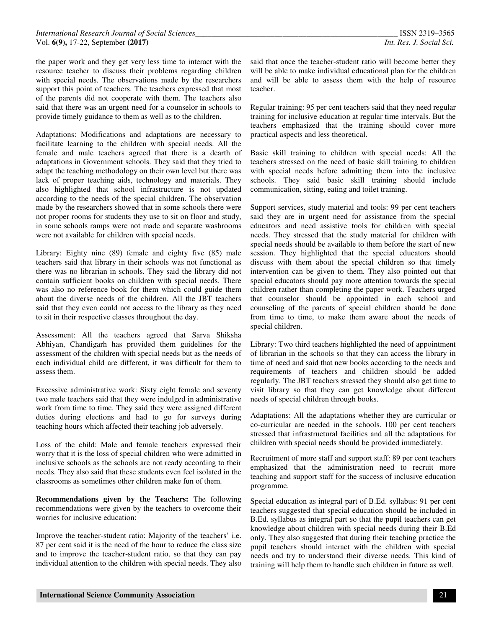the paper work and they get very less time to interact with the resource teacher to discuss their problems regarding children with special needs. The observations made by the researchers support this point of teachers. The teachers expressed that most of the parents did not cooperate with them. The teachers also said that there was an urgent need for a counselor in schools to provide timely guidance to them as well as to the children.

Adaptations: Modifications and adaptations are necessary to facilitate learning to the children with special needs. All the female and male teachers agreed that there is a dearth of adaptations in Government schools. They said that they tried to adapt the teaching methodology on their own level but there was lack of proper teaching aids, technology and materials. They also highlighted that school infrastructure is not updated according to the needs of the special children. The observation made by the researchers showed that in some schools there were not proper rooms for students they use to sit on floor and study, in some schools ramps were not made and separate washrooms were not available for children with special needs.

Library: Eighty nine (89) female and eighty five (85) male teachers said that library in their schools was not functional as there was no librarian in schools. They said the library did not contain sufficient books on children with special needs. There was also no reference book for them which could guide them about the diverse needs of the children. All the JBT teachers said that they even could not access to the library as they need to sit in their respective classes throughout the day.

Assessment: All the teachers agreed that Sarva Shiksha Abhiyan, Chandigarh has provided them guidelines for the assessment of the children with special needs but as the needs of each individual child are different, it was difficult for them to assess them.

Excessive administrative work: Sixty eight female and seventy two male teachers said that they were indulged in administrative work from time to time. They said they were assigned different duties during elections and had to go for surveys during teaching hours which affected their teaching job adversely.

Loss of the child: Male and female teachers expressed their worry that it is the loss of special children who were admitted in inclusive schools as the schools are not ready according to their needs. They also said that these students even feel isolated in the classrooms as sometimes other children make fun of them.

**Recommendations given by the Teachers:** The following recommendations were given by the teachers to overcome their worries for inclusive education:

Improve the teacher-student ratio: Majority of the teachers' i.e. 87 per cent said it is the need of the hour to reduce the class size and to improve the teacher-student ratio, so that they can pay individual attention to the children with special needs. They also

said that once the teacher-student ratio will become better they will be able to make individual educational plan for the children and will be able to assess them with the help of resource teacher.

Regular training: 95 per cent teachers said that they need regular training for inclusive education at regular time intervals. But the teachers emphasized that the training should cover more practical aspects and less theoretical.

Basic skill training to children with special needs: All the teachers stressed on the need of basic skill training to children with special needs before admitting them into the inclusive schools. They said basic skill training should include communication, sitting, eating and toilet training.

Support services, study material and tools: 99 per cent teachers said they are in urgent need for assistance from the special educators and need assistive tools for children with special needs. They stressed that the study material for children with special needs should be available to them before the start of new session. They highlighted that the special educators should discuss with them about the special children so that timely intervention can be given to them. They also pointed out that special educators should pay more attention towards the special children rather than completing the paper work. Teachers urged that counselor should be appointed in each school and counseling of the parents of special children should be done from time to time, to make them aware about the needs of special children.

Library: Two third teachers highlighted the need of appointment of librarian in the schools so that they can access the library in time of need and said that new books according to the needs and requirements of teachers and children should be added regularly. The JBT teachers stressed they should also get time to visit library so that they can get knowledge about different needs of special children through books.

Adaptations: All the adaptations whether they are curricular or co-curricular are needed in the schools. 100 per cent teachers stressed that infrastructural facilities and all the adaptations for children with special needs should be provided immediately.

Recruitment of more staff and support staff: 89 per cent teachers emphasized that the administration need to recruit more teaching and support staff for the success of inclusive education programme.

Special education as integral part of B.Ed. syllabus: 91 per cent teachers suggested that special education should be included in B.Ed. syllabus as integral part so that the pupil teachers can get knowledge about children with special needs during their B.Ed only. They also suggested that during their teaching practice the pupil teachers should interact with the children with special needs and try to understand their diverse needs. This kind of training will help them to handle such children in future as well.